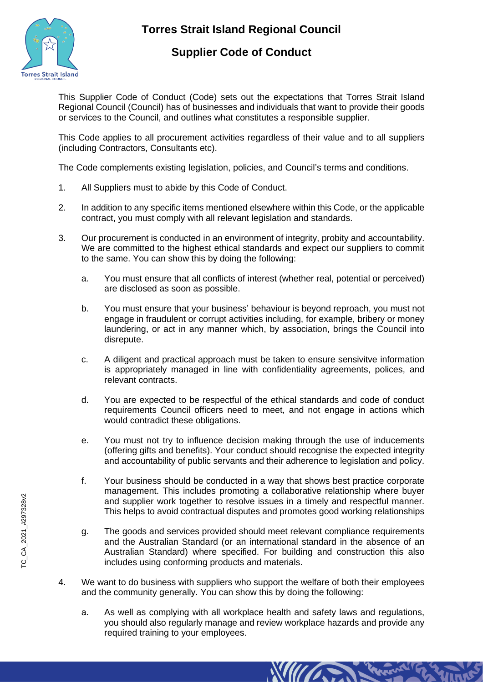

## **Torres Strait Island Regional Council**

## **Supplier Code of Conduct**

This Supplier Code of Conduct (Code) sets out the expectations that Torres Strait Island Regional Council (Council) has of businesses and individuals that want to provide their goods or services to the Council, and outlines what constitutes a responsible supplier.

This Code applies to all procurement activities regardless of their value and to all suppliers (including Contractors, Consultants etc).

The Code complements existing legislation, policies, and Council's terms and conditions.

- 1. All Suppliers must to abide by this Code of Conduct.
- 2. In addition to any specific items mentioned elsewhere within this Code, or the applicable contract, you must comply with all relevant legislation and standards.
- 3. Our procurement is conducted in an environment of integrity, probity and accountability. We are committed to the highest ethical standards and expect our suppliers to commit to the same. You can show this by doing the following:
	- a. You must ensure that all conflicts of interest (whether real, potential or perceived) are disclosed as soon as possible.
	- b. You must ensure that your business' behaviour is beyond reproach, you must not engage in fraudulent or corrupt activities including, for example, bribery or money laundering, or act in any manner which, by association, brings the Council into disrepute.
	- c. A diligent and practical approach must be taken to ensure sensivitve information is appropriately managed in line with confidentiality agreements, polices, and relevant contracts.
	- d. You are expected to be respectful of the ethical standards and code of conduct requirements Council officers need to meet, and not engage in actions which would contradict these obligations.
	- e. You must not try to influence decision making through the use of inducements (offering gifts and benefits). Your conduct should recognise the expected integrity and accountability of public servants and their adherence to legislation and policy.
	- f. Your business should be conducted in a way that shows best practice corporate management. This includes promoting a collaborative relationship where buyer and supplier work together to resolve issues in a timely and respectful manner. This helps to avoid contractual disputes and promotes good working relationships
	- g. The goods and services provided should meet relevant compliance requirements and the Australian Standard (or an international standard in the absence of an Australian Standard) where specified. For building and construction this also includes using conforming products and materials.
- 4. We want to do business with suppliers who support the welfare of both their employees and the community generally. You can show this by doing the following:
	- a. As well as complying with all workplace health and safety laws and regulations, you should also regularly manage and review workplace hazards and provide any required training to your employees.